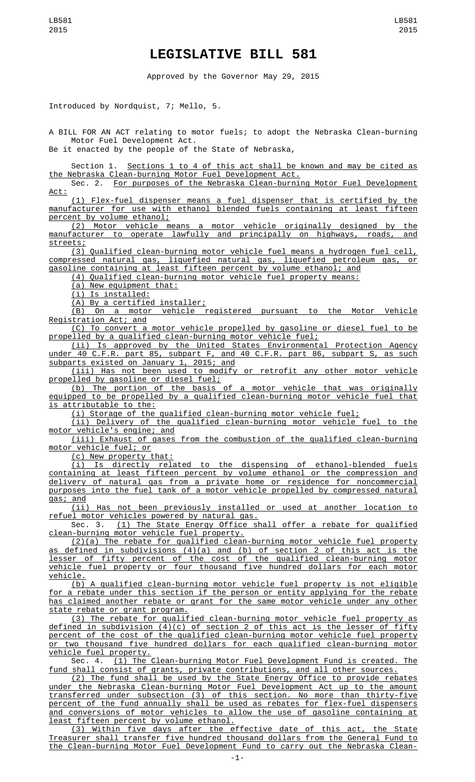## **LEGISLATIVE BILL 581**

Approved by the Governor May 29, 2015

Introduced by Nordquist, 7; Mello, 5.

A BILL FOR AN ACT relating to motor fuels; to adopt the Nebraska Clean-burning Motor Fuel Development Act.

Be it enacted by the people of the State of Nebraska,

Section 1. Sections 1 to 4 of this act shall be known and may be cited as the Nebraska Clean-burning Motor Fuel Development Act.

Sec. 2. For purposes of the Nebraska Clean-burning Motor Fuel Development Act:

(1) Flex-fuel dispenser means a fuel dispenser that is certified by the manufacturer for use with ethanol blended fuels containing at least fifteen percent by volume ethanol;

(2) Motor vehicle means a motor vehicle originally designed by the manufacturer to operate lawfully and principally on highways, roads, and streets;

(3) Qualified clean-burning motor vehicle fuel means a hydrogen fuel cell, compressed natural gas, liquefied natural gas, liquefied petroleum gas, or

gasoline containing at least fifteen percent by volume ethanol; and (4) Qualified clean-burning motor vehicle fuel property means:

(a) New equipment that:

(i) Is installed:

(A) By a certified installer;

(B) On a motor vehicle registered pursuant to the Motor Vehicle Registration Act; and

(C) To convert a motor vehicle propelled by gasoline or diesel fuel to be propelled by a qualified clean-burning motor vehicle fuel;

(ii) Is approved by the United States Environmental Protection Agency under 40 C.F.R. part 85, subpart F, and 40 C.F.R. part 86, subpart S, as such subparts existed on January 1, 2015; and

(iii) Has not been used to modify or retrofit any other motor vehicle propelled by gasoline or diesel fuel;

(b) The portion of the basis of a motor vehicle that was originally equipped to be propelled by a qualified clean-burning motor vehicle fuel that is attributable to the:

(i) Storage of the qualified clean-burning motor vehicle fuel;

(ii) Delivery of the qualified clean-burning motor vehicle fuel to the motor vehicle's engine; and

(iii) Exhaust of gases from the combustion of the qualified clean-burning motor vehicle fuel; or

(c) New property that:

(i) Is directly related to the dispensing of ethanol-blended fuels containing at least fifteen percent by volume ethanol or the compression and delivery of natural gas from a private home or residence for noncommercial purposes into the fuel tank of a motor vehicle propelled by compressed natural gas; and

(ii) Has not been previously installed or used at another location to refuel motor vehicles powered by natural gas.

Sec. 3. (1) The State Energy Office shall offer a rebate for qualified clean-burning motor vehicle fuel property.

(2)(a) The rebate for qualified clean-burning motor vehicle fuel property as defined in subdivisions (4)(a) and (b) of section 2 of this act is the lesser of fifty percent of the cost of the qualified clean-burning motor vehicle fuel property or four thousand five hundred dollars for each motor vehicle.

(b) A qualified clean-burning motor vehicle fuel property is not eligible for a rebate under this section if the person or entity applying for the rebate has claimed another rebate or grant for the same motor vehicle under any other state rebate or grant program.

(3) The rebate for qualified clean-burning motor vehicle fuel property as defined in subdivision (4)(c) of section 2 of this act is the lesser of fifty percent of the cost of the qualified clean-burning motor vehicle fuel property or two thousand five hundred dollars for each qualified clean-burning motor vehicle fuel property.

Sec. 4. (1) The Clean-burning Motor Fuel Development Fund is created. The fund shall consist of grants, private contributions, and all other sources.

(2) The fund shall be used by the State Energy Office to provide rebates under the Nebraska Clean-burning Motor Fuel Development Act up to the amount transferred under subsection (3) of this section. No more than thirty-five percent of the fund annually shall be used as rebates for flex-fuel dispensers and conversions of motor vehicles to allow the use of gasoline containing at least fifteen percent by volume ethanol.

(3) Within five days after the effective date of this act, the State Treasurer shall transfer five hundred thousand dollars from the General Fund to the Clean-burning Motor Fuel Development Fund to carry out the Nebraska Clean